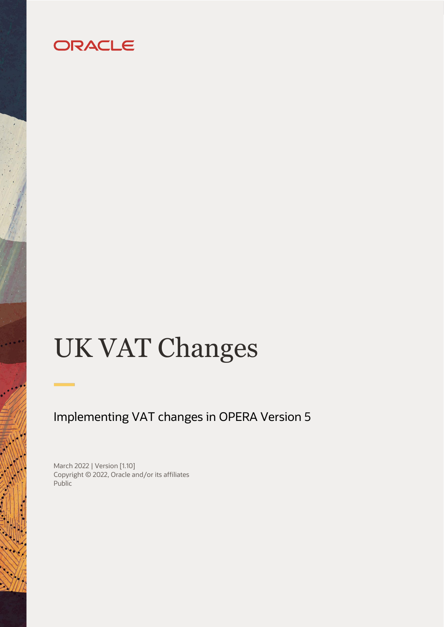# ORACLE

# UK VAT Changes

## Implementing VAT changes in OPERA Version 5

March 2022 | Version [1.10] Copyright © 2022, Oracle and/or its affiliates Public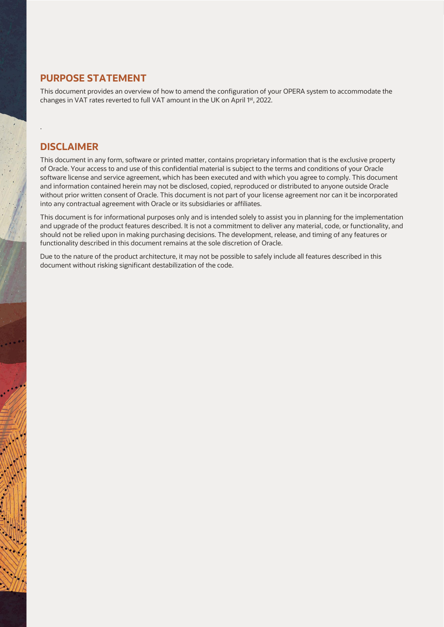#### <span id="page-1-0"></span>**PURPOSE STATEMENT**

This document provides an overview of how to amend the configuration of your OPERA system to accommodate the changes in VAT rates reverted to full VAT amount in the UK on April 1<sup>st</sup>, 2022.

#### <span id="page-1-1"></span>**DISCLAIMER**

.

This document in any form, software or printed matter, contains proprietary information that is the exclusive property of Oracle. Your access to and use of this confidential material is subject to the terms and conditions of your Oracle software license and service agreement, which has been executed and with which you agree to comply. This document and information contained herein may not be disclosed, copied, reproduced or distributed to anyone outside Oracle without prior written consent of Oracle. This document is not part of your license agreement nor can it be incorporated into any contractual agreement with Oracle or its subsidiaries or affiliates.

This document is for informational purposes only and is intended solely to assist you in planning for the implementation and upgrade of the product features described. It is not a commitment to deliver any material, code, or functionality, and should not be relied upon in making purchasing decisions. The development, release, and timing of any features or functionality described in this document remains at the sole discretion of Oracle.

Due to the nature of the product architecture, it may not be possible to safely include all features described in this document without risking significant destabilization of the code.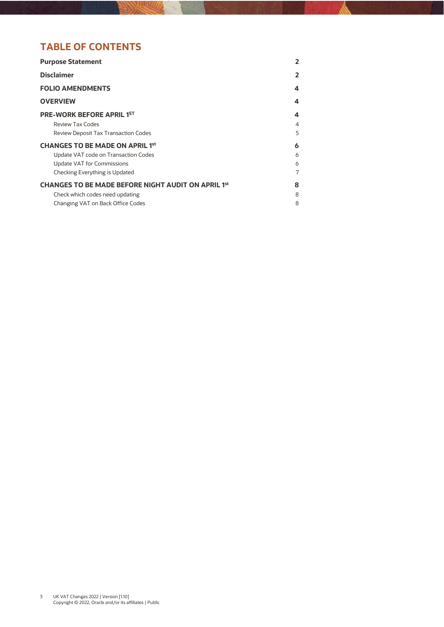## **TABLE OF CONTENTS**

| 2 |
|---|
| 2 |
| 4 |
| 4 |
| 4 |
| 4 |
| 5 |
| 6 |
| 6 |
| 6 |
| 7 |
| 8 |
| 8 |
| 8 |
|   |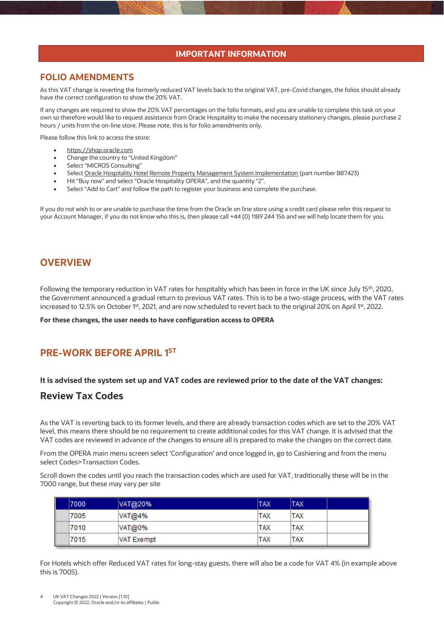#### **IMPORTANT INFORMATION**

#### <span id="page-3-0"></span>**FOLIO AMENDMENTS**

As this VAT change is reverting the formerly reduced VAT levels back to the original VAT, pre-Covid changes, the folios should already have the correct configuration to show the 20% VAT.

If any changes are required to show the 20% VAT percentages on the folio formats, and you are unable to complete this task on your own so therefore would like to request assistance from Oracle Hospitality to make the necessary stationery changes, please purchase 2 hours / units from the on-line store. Please note, this is for folio amendments only.

Please follow this link to access the store:

- [https://shop.oracle.com](https://shop.oracle.com/)
- Change the country to "United Kingdom"
- Select "MICROS Consulting"
- Selec[t Oracle Hospitality Hotel Remote Property Management System Implementation](https://shop.oracle.com/apex/f?p=DSTORE:PRODUCT:::NO:RP,6:P6_LPI,P6_PROD_HIER_ID:128053756104980474850401,128016537132070991130337) (part number B87423)
- Hit "Buy now" and select "Oracle Hospitality OPERA", and the quantity "2".
- Select "Add to Cart" and follow the path to register your business and complete the purchase.

If you do not wish to or are unable to purchase the time from the Oracle on line store using a credit card please refer this request to your Account Manager, if you do not know who this is, then please call +44 (0) 1189 244 156 and we will help locate them for you.

#### <span id="page-3-1"></span>**OVERVIEW**

Following the temporary reduction in VAT rates for hospitality which has been in force in the UK since July 15<sup>th</sup>, 2020, the Government announced a gradual return to previous VAT rates. This is to be a two-stage process, with the VAT rates increased to 12.5% on October 1st, 2021, and are now scheduled to revert back to the original 20% on April 1st, 2022.

**For these changes, the user needs to have configuration access to OPERA**

## <span id="page-3-2"></span>**PRE-WORK BEFORE APRIL 1 ST**

#### **It is advised the system set up and VAT codes are reviewed prior to the date of the VAT changes:**

#### <span id="page-3-3"></span>**Review Tax Codes**

As the VAT is reverting back to its former levels, and there are already transaction codes which are set to the 20% VAT level, this means there should be no requirement to create additional codes for this VAT change. It is advised that the VAT codes are reviewed in advance of the changes to ensure all is prepared to make the changes on the correct date.

From the OPERA main menu screen select 'Configuration' and once logged in, go to Cashiering and from the menu select Codes>Transaction Codes.

Scroll down the codes until you reach the transaction codes which are used for VAT, traditionally these will be in the 7000 range, but these may vary per site

| 7000 | VAT@20%           | <b>TAX</b> | <b>TAX</b> |  |
|------|-------------------|------------|------------|--|
| 7005 | VAT@4%            | <b>TAX</b> | ITAX       |  |
| 7010 | VAT@0%            | <b>TAX</b> | <b>TAX</b> |  |
| 7015 | <b>VAT Exempt</b> | <b>TAX</b> | TAX        |  |

For Hotels which offer Reduced VAT rates for long-stay guests, there will also be a code for VAT 4% (in example above this is 7005).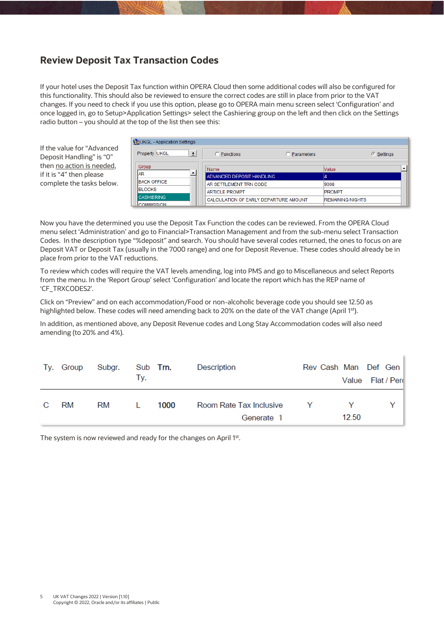## <span id="page-4-0"></span>**Review Deposit Tax Transaction Codes**

If your hotel uses the Deposit Tax function within OPERA Cloud then some additional codes will also be configured for this functionality. This should also be reviewed to ensure the correct codes are still in place from prior to the VAT changes. If you need to check if you use this option, please go to OPERA main menu screen select 'Configuration' and once logged in, go to Setup>Application Settings> select the Cashiering group on the left and then click on the Settings radio button – you should at the top of the list then see this:

If the value for "Advanced Deposit Handling" is "0" then no action is needed, if it is "4" then please complete the tasks below.

| 【2DKGL - Application Settings          |                                                     |                   |                         |
|----------------------------------------|-----------------------------------------------------|-------------------|-------------------------|
| Property UKGL<br>土                     | C Functions                                         | <b>Parameters</b> | © Settings              |
| Group<br><b>JAR</b>                    | Name                                                | Value             |                         |
| <b>BACK OFFICE</b>                     | ADVANCED DEPOSIT HANDLING<br>AR SETTLEMENT TRN CODE | 9008              |                         |
| <b>IBLOCKS</b>                         | <b>ARTICLE PROMPT</b>                               | <b>PROMPT</b>     |                         |
| <b>CASHIERING</b><br><b>COMMISSION</b> | CALCULATION OF EARLY DEPARTURE AMOUNT               |                   | <b>REMAINING NIGHTS</b> |

Now you have the determined you use the Deposit Tax Function the codes can be reviewed. From the OPERA Cloud menu select 'Administration' and go to Financial>Transaction Management and from the sub-menu select Transaction Codes. In the description type "%deposit" and search. You should have several codes returned, the ones to focus on are Deposit VAT or Deposit Tax (usually in the 7000 range) and one for Deposit Revenue. These codes should already be in place from prior to the VAT reductions.

To review which codes will require the VAT levels amending, log into PMS and go to Miscellaneous and select Reports from the menu. In the 'Report Group' select 'Configuration' and locate the report which has the REP name of 'CF\_TRXCODES2'.

Click on "Preview" and on each accommodation/Food or non-alcoholic beverage code you should see 12.50 as highlighted below. These codes will need amending back to 20% on the date of the VAT change (April 1st).

In addition, as mentioned above, any Deposit Revenue codes and Long Stay Accommodation codes will also need amending (to 20% and 4%).

|              | Ty. Group | Subgr. | Sub <b>Trn.</b> |      | Description                             | Rev Cash Man Def Gen |                  |  |
|--------------|-----------|--------|-----------------|------|-----------------------------------------|----------------------|------------------|--|
|              |           |        | Tv.             |      |                                         |                      | Value Flat / Per |  |
| $\mathbf{C}$ | RM        | RM     | $\mathbf{L}$    | 1000 | Room Rate Tax Inclusive<br>$\mathbf{Y}$ |                      |                  |  |
|              |           |        |                 |      | Generate 1                              |                      | 12.50            |  |

<span id="page-4-1"></span>The system is now reviewed and ready for the changes on April 1st.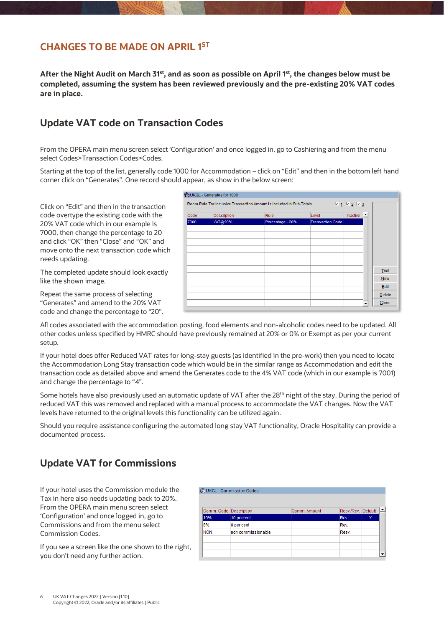#### **CHANGES TO BE MADE ON APRIL 1 ST**

**After the Night Audit on March 31st , and as soon as possible on April 1 st , the changes below must be completed, assuming the system has been reviewed previously and the pre-existing 20% VAT codes are in place.**

## <span id="page-5-0"></span>**Update VAT code on Transaction Codes**

From the OPERA main menu screen select 'Configuration' and once logged in, go to Cashiering and from the menu select Codes>Transaction Codes>Codes.

Starting at the top of the list, generally code 1000 for Accommodation – click on "Edit" and then in the bottom left hand corner click on "Generates". One record should appear, as show in the below screen:

Click on "Edit" and then in the transaction code overtype the existing code with the 20% VAT code which in our example is 7000, then change the percentage to 20 and click "OK" then "Close" and "OK" and move onto the next transaction code which needs updating.

The completed update should look exactly like the shown image.

Repeat the same process of selecting "Generates" and amend to the 20% VAT code and change the percentage to "20".

|      | <b>VELUKGL - Generates for 1000</b> |                                                                      |                         |                                                    |            |
|------|-------------------------------------|----------------------------------------------------------------------|-------------------------|----------------------------------------------------|------------|
|      |                                     | Room Rate Tax Inclusive Transaction Amount is included in Sub-Totals |                         | $\overline{M}$ 1 $\overline{M}$ 2 $\overline{M}$ 3 |            |
| Code | Description                         | Rule                                                                 | Level                   | دی)<br>Inactive                                    |            |
| 7000 | VAT@20%                             | Percentage - 20%                                                     | <b>Transaction Code</b> |                                                    |            |
|      |                                     |                                                                      |                         |                                                    |            |
|      |                                     |                                                                      |                         |                                                    |            |
|      |                                     |                                                                      |                         |                                                    |            |
|      |                                     |                                                                      |                         |                                                    |            |
|      |                                     |                                                                      |                         |                                                    |            |
|      |                                     |                                                                      |                         |                                                    | Test       |
|      |                                     |                                                                      |                         |                                                    | <b>New</b> |
|      |                                     |                                                                      |                         |                                                    | Edit       |
|      |                                     |                                                                      |                         |                                                    | Delete     |
|      |                                     |                                                                      |                         |                                                    |            |
|      |                                     |                                                                      |                         | $\overline{\phantom{a}}$                           | Close      |

All codes associated with the accommodation posting, food elements and non-alcoholic codes need to be updated. All other codes unless specified by HMRC should have previously remained at 20% or 0% or Exempt as per your current setup.

If your hotel does offer Reduced VAT rates for long-stay guests (as identified in the pre-work) then you need to locate the Accommodation Long Stay transaction code which would be in the similar range as Accommodation and edit the transaction code as detailed above and amend the Generates code to the 4% VAT code (which in our example is 7001) and change the percentage to "4".

Some hotels have also previously used an automatic update of VAT after the 28<sup>th</sup> night of the stay. During the period of reduced VAT this was removed and replaced with a manual process to accommodate the VAT changes. Now the VAT levels have returned to the original levels this functionality can be utilized again.

Should you require assistance configuring the automated long stay VAT functionality, Oracle Hospitality can provide a documented process.

## <span id="page-5-1"></span>**Update VAT for Commissions**

If your hotel uses the Commission module the Tax in here also needs updating back to 20%. From the OPERA main menu screen select 'Configuration' and once logged in, go to Commissions and from the menu select Commission Codes.

If you see a screen like the one shown to the right, you don't need any further action.

| Comm. Code Description |                    | Comm. Amount | Resv./Rev. | Default |  |
|------------------------|--------------------|--------------|------------|---------|--|
| 10%                    | 10 percent         |              | Rev.       | X       |  |
| 8%                     | 8 per cent         |              | Rev.       |         |  |
| <b>NON</b>             | non commissionable |              | Resv.      |         |  |
|                        |                    |              |            |         |  |
|                        |                    |              |            |         |  |
|                        |                    |              |            |         |  |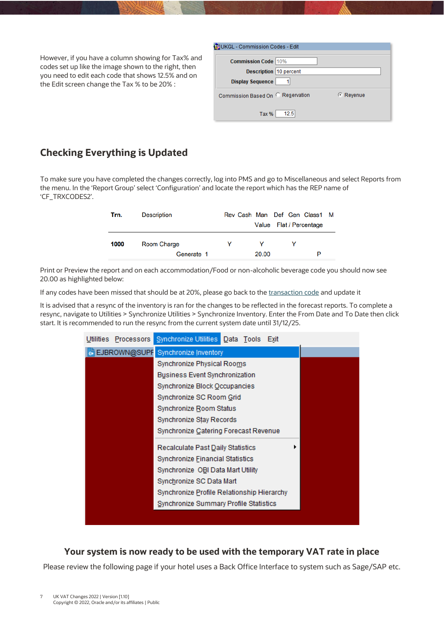However, if you have a column showing for Tax% and codes set up like the image shown to the right, then you need to edit each code that shows 12.5% and on the Edit screen change the Tax % to be 20% :

| Ca UKGL - Commission Codes - Edit |           |
|-----------------------------------|-----------|
| <b>Commission Code 10%</b>        |           |
| Description 10 percent            |           |
| <b>Display Sequence</b>           |           |
| Commission Based On C Reservation | © Revenue |
| 12.5<br>Tax %                     |           |

## <span id="page-6-0"></span>**Checking Everything is Updated**

To make sure you have completed the changes correctly, log into PMS and go to Miscellaneous and select Reports from the menu. In the 'Report Group' select 'Configuration' and locate the report which has the REP name of 'CF\_TRXCODES2'.

| Trn. | <b>Description</b> |   |       | Rev Cash Man Def Gen Class1 M |   |
|------|--------------------|---|-------|-------------------------------|---|
|      |                    |   |       | Value Flat / Percentage       |   |
| 1000 | Room Charge        | v | v     |                               |   |
|      | Generate 1         |   | 20.00 |                               | P |

Print or Preview the report and on each accommodation/Food or non-alcoholic beverage code you should now see 20.00 as highlighted below:

If any codes have been missed that should be at 20%, please go back to th[e transaction code](#page-5-0) and update it

It is advised that a resync of the inventory is ran for the changes to be reflected in the forecast reports. To complete a resync, navigate to Utilities > Synchronize Utilities > Synchronize Inventory. Enter the From Date and To Date then click start. It is recommended to run the resync from the current system date until 31/12/25.

| Utilities Processors | Synchronize Utilities Data Tools<br>Exit   |
|----------------------|--------------------------------------------|
| EJBROWN@SUPF         | Synchronize Inventory                      |
|                      | Synchronize Physical Rooms                 |
|                      | Business Event Synchronization             |
|                      | Synchronize Block Occupancies              |
|                      | Synchronize SC Room Grid                   |
|                      | Synchronize Room Status                    |
|                      | Synchronize Stay Records                   |
|                      | Synchronize Catering Forecast Revenue      |
|                      | Recalculate Past Daily Statistics          |
|                      | Synchronize Einancial Statistics           |
|                      | Synchronize OBI Data Mart Utility          |
|                      | Synchronize SC Data Mart                   |
|                      | Synchronize Profile Relationship Hierarchy |
|                      | Synchronize Summary Profile Statistics     |
|                      |                                            |

#### **Your system is now ready to be used with the temporary VAT rate in place**

Please review the following page if your hotel uses a Back Office Interface to system such as Sage/SAP etc.